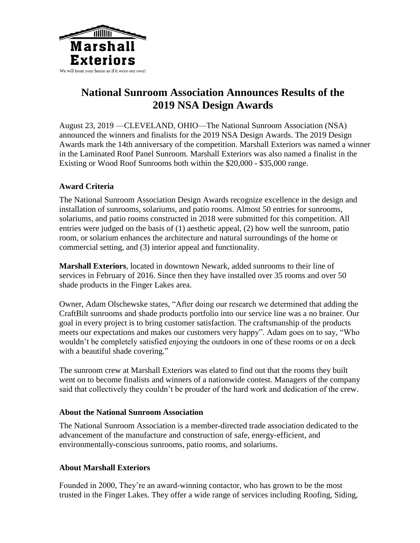

# **National Sunroom Association Announces Results of the 2019 NSA Design Awards**

August 23, 2019 —CLEVELAND, OHIO—The National Sunroom Association (NSA) announced the winners and finalists for the 2019 NSA Design Awards. The 2019 Design Awards mark the 14th anniversary of the competition. Marshall Exteriors was named a winner in the Laminated Roof Panel Sunroom. Marshall Exteriors was also named a finalist in the Existing or Wood Roof Sunrooms both within the \$20,000 - \$35,000 range.

### **Award Criteria**

The National Sunroom Association Design Awards recognize excellence in the design and installation of sunrooms, solariums, and patio rooms. Almost 50 entries for sunrooms, solariums, and patio rooms constructed in 2018 were submitted for this competition. All entries were judged on the basis of (1) aesthetic appeal, (2) how well the sunroom, patio room, or solarium enhances the architecture and natural surroundings of the home or commercial setting, and (3) interior appeal and functionality.

**Marshall Exteriors**, located in downtown Newark, added sunrooms to their line of services in February of 2016. Since then they have installed over 35 rooms and over 50 shade products in the Finger Lakes area.

Owner, Adam Olschewske states, "After doing our research we determined that adding the CraftBilt sunrooms and shade products portfolio into our service line was a no brainer. Our goal in every project is to bring customer satisfaction. The craftsmanship of the products meets our expectations and makes our customers very happy". Adam goes on to say, "Who wouldn't be completely satisfied enjoying the outdoors in one of these rooms or on a deck with a beautiful shade covering."

The sunroom crew at Marshall Exteriors was elated to find out that the rooms they built went on to become finalists and winners of a nationwide contest. Managers of the company said that collectively they couldn't be prouder of the hard work and dedication of the crew.

### **About the National Sunroom Association**

The National Sunroom Association is a member-directed trade association dedicated to the advancement of the manufacture and construction of safe, energy-efficient, and environmentally-conscious sunrooms, patio rooms, and solariums.

### **About Marshall Exteriors**

Founded in 2000, They're an award-winning contactor, who has grown to be the most trusted in the Finger Lakes. They offer a wide range of services including Roofing, Siding,